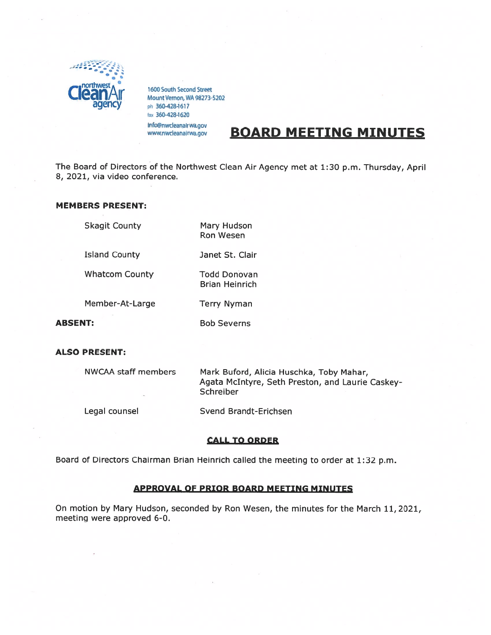

1600 South Second Street Mount Vernon, WA 98273-5202 ph 360-428-1617 ax 360-428-1620 info@nwcleanairwa.gov

www.nwcleanairwa.gov **BOARD MEETING MINUTES** 

The Board of Directors of the Northwest Clean Air Agency met at 1:30 p.m. Thursday, April 8, 2021, via video conference.

# MEMBERS PRESENT:

Skagit County Mary Hudson

Ron Wesen

Island County Janet St. Clair

Whatcom County Todd Donovan

Member-At-Large Terry Nyman

ABSENT: Bob Severns

Brian Heinrich

### ALSO PRESENT:

| <b>NWCAA staff members</b> | Mark Buford, Alicia Huschka, Toby Mahar,                      |
|----------------------------|---------------------------------------------------------------|
|                            | Agata McIntyre, Seth Preston, and Laurie Caskey-<br>Schreiber |
|                            |                                                               |

Legal counsel Svend Brandt-Erichsen

## CALL TO ORDER

Board of Directors Chairman Brian Heinrich called the meeting to order at 1:32 p.m.

## APPROVAL OF PRIOR BOARD MEETING MINUTES

On motion by Mary Hudson, seconded by Ron Wesen, the minutes for the March 11,2021, meeting were approved 6-0.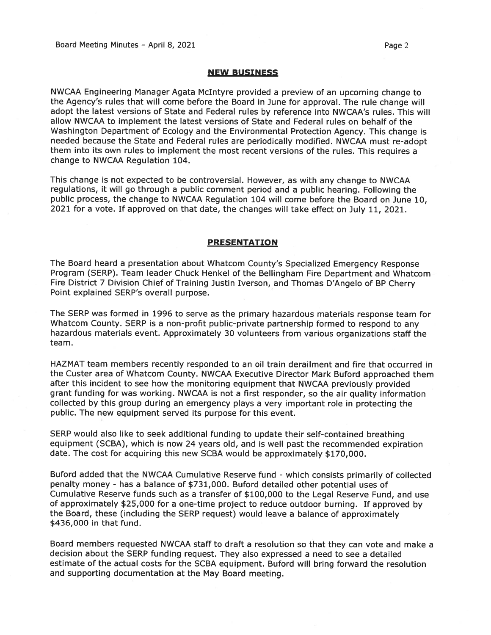#### NEW BUSINESS

NWCAA Engineering Manager Agata McIntyre provided <sup>a</sup> preview of an upcoming change to the Agency's rules that will come before the Board in June for approval. The rule change will adopt the latest versions of State and Federal rules by reference into NWCAA's rules. This will allow NWCAA to implement the latest versions of State and Federal rules on behalf of the Washington Department of Ecology and the Environmental Protection Agency. This change is needed because the State and Federal rules are periodically modified. NWCAA must re-adopt them into its own rules to implement the most recent versions of the rules. This requires <sup>a</sup> change to NWCAA Regulation 104.

This change is not expected to be controversial. However, as with any change to NWCAA regulations, it will go through <sup>a</sup> public comment period and <sup>a</sup> public hearing. Following the public process, the change to NWCAA Regulation 104 will come before the Board on June 10, <sup>2021</sup> for <sup>a</sup> vote. If approve<sup>d</sup> on that date, the changes will take effect on July 11, 2021.

### PRESENTATION

The Board heard <sup>a</sup> presentation about Whatcom County's Specialized Emergency Response Program (SERP). Team leader Chuck Henkel of the Bellingham Fire Department and Whatcom Fire District <sup>7</sup> Division Chief of Training Justin Iverson, and Thomas D'Angelo of BP Cherry Point explained SERP's overall purpose.

The SERP was formed in 1996 to serve as the primary hazardous materials response team for Whatcom County. SERP is <sup>a</sup> non-profit public-private partnership formed to respon<sup>d</sup> to any hazardous materials event. Approximately 30 volunteers from various organizations staff the team.

HAZMAT team members recently responded to an oil train derailment and fire that occurred in the Custer area of Whatcom County. NWCAA Executive Director Mark Buford approached them after this incident to see how the monitoring equipment that NWCAA previously provided gran<sup>t</sup> funding for was working. NWCAA is not <sup>a</sup> first responder, so the air quality information collected by this group during an emergency <sup>p</sup>lays <sup>a</sup> very important role in protecting the public. The new equipment served its purpose for this event.

SERP would also like to seek additional funding to update their self-contained breathing equipment (SCBA), which is now <sup>24</sup> years old, and is well pas<sup>t</sup> the recommended expiration date. The cost for acquiring this new SCBA would be approximately \$170,000.

Buford added that the NWCAA Cumulative Reserve fund - which consists primarily of collected penalty money - has <sup>a</sup> balance of \$731,000. Buford detailed other potential uses of Cumulative Reserve funds such as <sup>a</sup> transfer of \$100,000 to the Legal Reserve Fund, and use of approximately \$25,000 for <sup>a</sup> one-time project to reduce outdoor burning. If approve<sup>d</sup> by the Board, these (including the SERP request) would leave <sup>a</sup> balance of approximately \$436,000 in that fund.

Board members requested NWCAA staff to draft <sup>a</sup> resolution so that they can vote and make <sup>a</sup> decision about the SERP funding request. They also expressed <sup>a</sup> need to see <sup>a</sup> detailed estimate of the actual costs for the SCBA equipment. Buford will bring forward the resolution and supporting documentation at the May Board meeting.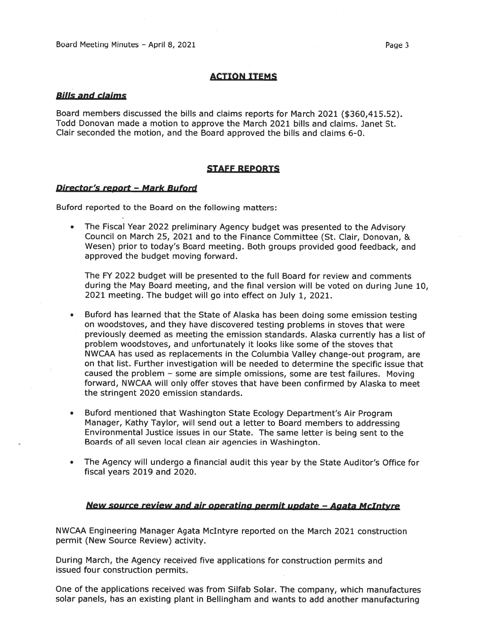## ACTION ITEMS

### Bills and claims

Board members discussed the bills and claims reports for March 2021 (\$360,415.52). Todd Donovan made <sup>a</sup> motion to approve the March 2021 bills and claims. Janet St. Clair seconded the motion, and the Board approved the bills and claims 6-0.

### STAFF REPORTS

#### Director's report — Mark Buford

Buford reported to the Board on the following matters:

• The Fiscal Year 2022 preliminary Agency budget was presented to the Advisory Council on March 25, 2021 and to the Finance Committee (St. Clair, Donovan, & Wesen) prior to today's Board meeting. Both groups provided good feedback, and approved the budget moving forward.

The FY 2022 budget will be presented to the full Board for review and comments during the May Board meeting, and the final version will be voted on during June 10, 2021 meeting. The budget will go into effect on July 1, 2021.

- • Buford has learned that the State of Alaska has been doing some emission testing on woodstoves, and they have discovered testing problems in stoves that were previously deemed as meeting the emission standards. Alaska currently has <sup>a</sup> list of problem woodstoves, and unfortunately it looks like some of the stoves that NWCAA has used as replacements in the Columbia Valley change-out program, are on that list. Further investigation will be needed to determine the specific issue that caused the problem — some are simple omissions, some are test failures. Moving forward, NWCAA will only offer stoves that have been confirmed by Alaska to meet the stringent 2020 emission standards.
- • Buford mentioned that Washington State Ecology Department's Air Program Manager, Kathy Taylor, will send out <sup>a</sup> letter to Board members to addressing Environmental Justice issues in our State. The same letter is being sent to the Boards of all seven local clean air agencies in Washington.
- • The Agency will undergo <sup>a</sup> financial audit this year by the State Auditor's Office for fiscal years 2019 and 2020.

#### New source review and air operating permit update — Agata McIntyre

NWCAA Engineering Manager Agata McIntyre reported on the March 2021 construction permit (New Source Review) activity.

During March, the Agency received five applications for construction permits and issued four construction permits.

One of the applications received was from Silfab Solar. The company, which manufactures solar panels, has an existing <sup>p</sup>lant in Bellingham and wants to add another manufacturing